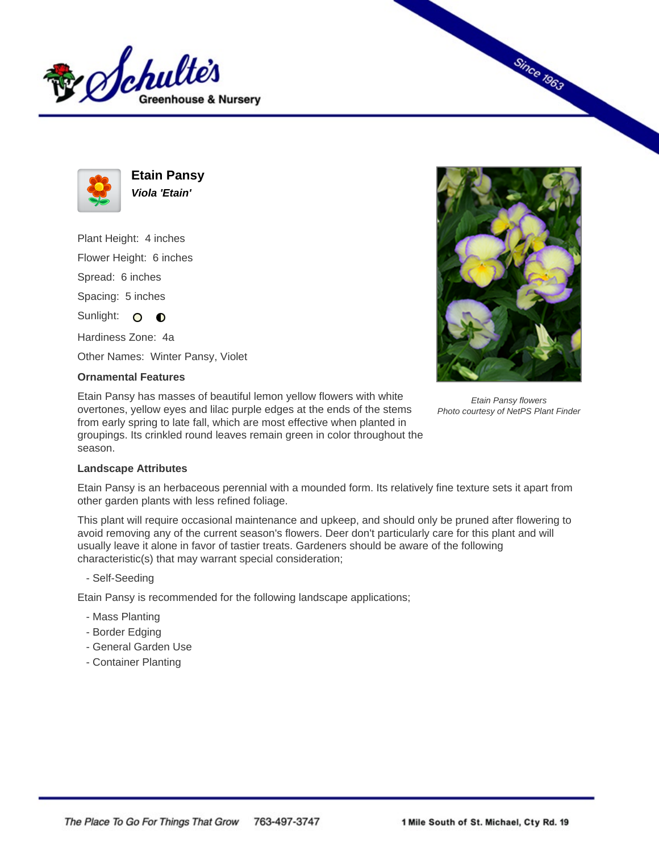



**Etain Pansy Viola 'Etain'**

Plant Height: 4 inches Flower Height: 6 inches Spread: 6 inches Spacing: 5 inches

Sunlight: O **O** 

Hardiness Zone: 4a

Other Names: Winter Pansy, Violet

## **Ornamental Features**

Etain Pansy has masses of beautiful lemon yellow flowers with white overtones, yellow eyes and lilac purple edges at the ends of the stems from early spring to late fall, which are most effective when planted in groupings. Its crinkled round leaves remain green in color throughout the season.



Since 1963

Etain Pansy flowers Photo courtesy of NetPS Plant Finder

## **Landscape Attributes**

Etain Pansy is an herbaceous perennial with a mounded form. Its relatively fine texture sets it apart from other garden plants with less refined foliage.

This plant will require occasional maintenance and upkeep, and should only be pruned after flowering to avoid removing any of the current season's flowers. Deer don't particularly care for this plant and will usually leave it alone in favor of tastier treats. Gardeners should be aware of the following characteristic(s) that may warrant special consideration;

- Self-Seeding

Etain Pansy is recommended for the following landscape applications;

- Mass Planting
- Border Edging
- General Garden Use
- Container Planting